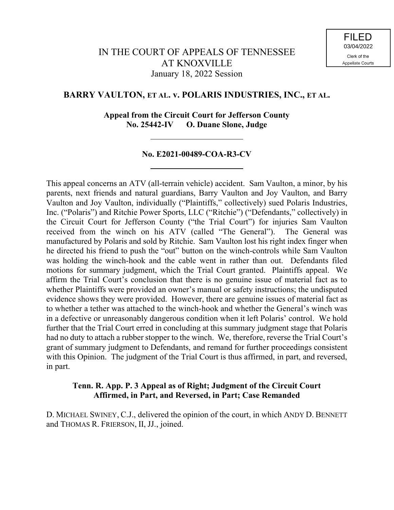# **BARRY VAULTON, ET AL. v. POLARIS INDUSTRIES, INC., ET AL.**

**Appeal from the Circuit Court for Jefferson County No. 25442-IV O. Duane Slone, Judge**

# **No. E2021-00489-COA-R3-CV**

This appeal concerns an ATV (all-terrain vehicle) accident. Sam Vaulton, a minor, by his parents, next friends and natural guardians, Barry Vaulton and Joy Vaulton, and Barry Vaulton and Joy Vaulton, individually ("Plaintiffs," collectively) sued Polaris Industries, Inc. ("Polaris") and Ritchie Power Sports, LLC ("Ritchie") ("Defendants," collectively) in the Circuit Court for Jefferson County ("the Trial Court") for injuries Sam Vaulton received from the winch on his ATV (called "The General"). The General was manufactured by Polaris and sold by Ritchie. Sam Vaulton lost his right index finger when he directed his friend to push the "out" button on the winch-controls while Sam Vaulton was holding the winch-hook and the cable went in rather than out. Defendants filed motions for summary judgment, which the Trial Court granted. Plaintiffs appeal. We affirm the Trial Court's conclusion that there is no genuine issue of material fact as to whether Plaintiffs were provided an owner's manual or safety instructions; the undisputed evidence shows they were provided. However, there are genuine issues of material fact as to whether a tether was attached to the winch-hook and whether the General's winch was in a defective or unreasonably dangerous condition when it left Polaris' control. We hold further that the Trial Court erred in concluding at this summary judgment stage that Polaris had no duty to attach a rubber stopper to the winch. We, therefore, reverse the Trial Court's grant of summary judgment to Defendants, and remand for further proceedings consistent with this Opinion. The judgment of the Trial Court is thus affirmed, in part, and reversed, in part.

# **Tenn. R. App. P. 3 Appeal as of Right; Judgment of the Circuit Court Affirmed, in Part, and Reversed, in Part; Case Remanded**

D. MICHAEL SWINEY, C.J., delivered the opinion of the court, in which ANDY D. BENNETT and THOMAS R. FRIERSON, II, JJ., joined.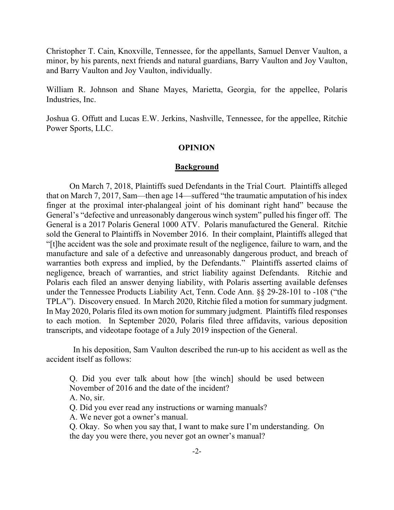Christopher T. Cain, Knoxville, Tennessee, for the appellants, Samuel Denver Vaulton, a minor, by his parents, next friends and natural guardians, Barry Vaulton and Joy Vaulton, and Barry Vaulton and Joy Vaulton, individually.

William R. Johnson and Shane Mayes, Marietta, Georgia, for the appellee, Polaris Industries, Inc.

Joshua G. Offutt and Lucas E.W. Jerkins, Nashville, Tennessee, for the appellee, Ritchie Power Sports, LLC.

## **OPINION**

## **Background**

On March 7, 2018, Plaintiffs sued Defendants in the Trial Court. Plaintiffs alleged that on March 7, 2017, Sam—then age 14—suffered "the traumatic amputation of his index finger at the proximal inter-phalangeal joint of his dominant right hand" because the General's "defective and unreasonably dangerous winch system" pulled his finger off. The General is a 2017 Polaris General 1000 ATV. Polaris manufactured the General. Ritchie sold the General to Plaintiffs in November 2016. In their complaint, Plaintiffs alleged that "[t]he accident was the sole and proximate result of the negligence, failure to warn, and the manufacture and sale of a defective and unreasonably dangerous product, and breach of warranties both express and implied, by the Defendants." Plaintiffs asserted claims of negligence, breach of warranties, and strict liability against Defendants. Ritchie and Polaris each filed an answer denying liability, with Polaris asserting available defenses under the Tennessee Products Liability Act, Tenn. Code Ann. §§ 29-28-101 to -108 ("the TPLA"). Discovery ensued. In March 2020, Ritchie filed a motion for summary judgment. In May 2020, Polaris filed its own motion for summary judgment. Plaintiffs filed responses to each motion. In September 2020, Polaris filed three affidavits, various deposition transcripts, and videotape footage of a July 2019 inspection of the General.

 In his deposition, Sam Vaulton described the run-up to his accident as well as the accident itself as follows:

Q. Did you ever talk about how [the winch] should be used between November of 2016 and the date of the incident?

A. No, sir.

Q. Did you ever read any instructions or warning manuals?

A. We never got a owner's manual.

Q. Okay. So when you say that, I want to make sure I'm understanding. On the day you were there, you never got an owner's manual?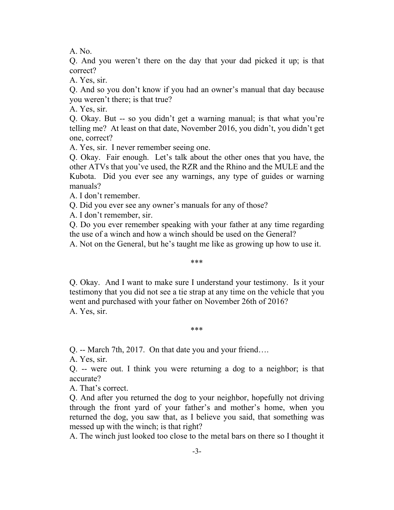A. No.

Q. And you weren't there on the day that your dad picked it up; is that correct?

A. Yes, sir.

Q. And so you don't know if you had an owner's manual that day because you weren't there; is that true?

A. Yes, sir.

Q. Okay. But -- so you didn't get a warning manual; is that what you're telling me? At least on that date, November 2016, you didn't, you didn't get one, correct?

A. Yes, sir. I never remember seeing one.

Q. Okay. Fair enough. Let's talk about the other ones that you have, the other ATVs that you've used, the RZR and the Rhino and the MULE and the Kubota. Did you ever see any warnings, any type of guides or warning manuals?

A. I don't remember.

Q. Did you ever see any owner's manuals for any of those?

A. I don't remember, sir.

Q. Do you ever remember speaking with your father at any time regarding the use of a winch and how a winch should be used on the General?

A. Not on the General, but he's taught me like as growing up how to use it.

## \*\*\*

Q. Okay. And I want to make sure I understand your testimony. Is it your testimony that you did not see a tie strap at any time on the vehicle that you went and purchased with your father on November 26th of 2016? A. Yes, sir.

## \*\*\*

Q. -- March 7th, 2017. On that date you and your friend….

A. Yes, sir.

Q. -- were out. I think you were returning a dog to a neighbor; is that accurate?

A. That's correct.

Q. And after you returned the dog to your neighbor, hopefully not driving through the front yard of your father's and mother's home, when you returned the dog, you saw that, as I believe you said, that something was messed up with the winch; is that right?

A. The winch just looked too close to the metal bars on there so I thought it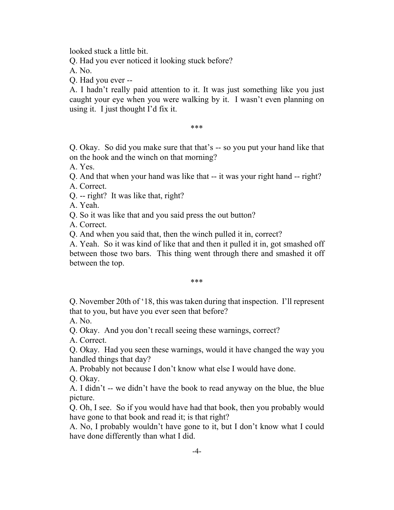looked stuck a little bit.

Q. Had you ever noticed it looking stuck before?

A. No.

Q. Had you ever --

A. I hadn't really paid attention to it. It was just something like you just caught your eye when you were walking by it. I wasn't even planning on using it. I just thought I'd fix it.

\*\*\*

Q. Okay. So did you make sure that that's -- so you put your hand like that on the hook and the winch on that morning?

A. Yes.

Q. And that when your hand was like that -- it was your right hand -- right?

A. Correct.

Q. -- right? It was like that, right?

A. Yeah.

Q. So it was like that and you said press the out button?

A. Correct.

Q. And when you said that, then the winch pulled it in, correct?

A. Yeah. So it was kind of like that and then it pulled it in, got smashed off between those two bars. This thing went through there and smashed it off between the top.

## \*\*\*

Q. November 20th of '18, this was taken during that inspection. I'll represent that to you, but have you ever seen that before?

A. No.

Q. Okay. And you don't recall seeing these warnings, correct?

A. Correct.

Q. Okay. Had you seen these warnings, would it have changed the way you handled things that day?

A. Probably not because I don't know what else I would have done.

Q. Okay.

A. I didn't -- we didn't have the book to read anyway on the blue, the blue picture.

Q. Oh, I see. So if you would have had that book, then you probably would have gone to that book and read it; is that right?

A. No, I probably wouldn't have gone to it, but I don't know what I could have done differently than what I did.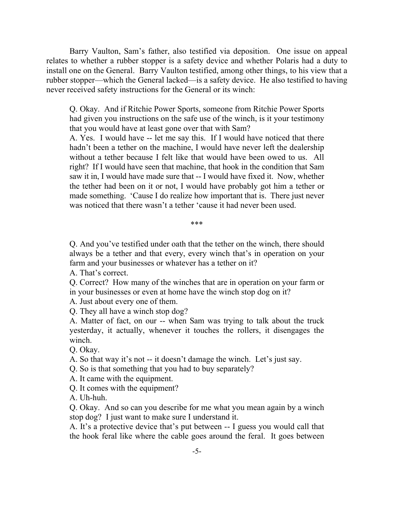Barry Vaulton, Sam's father, also testified via deposition. One issue on appeal relates to whether a rubber stopper is a safety device and whether Polaris had a duty to install one on the General. Barry Vaulton testified, among other things, to his view that a rubber stopper—which the General lacked—is a safety device. He also testified to having never received safety instructions for the General or its winch:

Q. Okay. And if Ritchie Power Sports, someone from Ritchie Power Sports had given you instructions on the safe use of the winch, is it your testimony that you would have at least gone over that with Sam?

A. Yes. I would have -- let me say this. If I would have noticed that there hadn't been a tether on the machine, I would have never left the dealership without a tether because I felt like that would have been owed to us. All right? If I would have seen that machine, that hook in the condition that Sam saw it in, I would have made sure that -- I would have fixed it. Now, whether the tether had been on it or not, I would have probably got him a tether or made something. 'Cause I do realize how important that is. There just never was noticed that there wasn't a tether 'cause it had never been used.

\*\*\*

Q. And you've testified under oath that the tether on the winch, there should always be a tether and that every, every winch that's in operation on your farm and your businesses or whatever has a tether on it?

A. That's correct.

Q. Correct? How many of the winches that are in operation on your farm or in your businesses or even at home have the winch stop dog on it?

A. Just about every one of them.

Q. They all have a winch stop dog?

A. Matter of fact, on our -- when Sam was trying to talk about the truck yesterday, it actually, whenever it touches the rollers, it disengages the winch.

Q. Okay.

A. So that way it's not -- it doesn't damage the winch. Let's just say.

Q. So is that something that you had to buy separately?

A. It came with the equipment.

Q. It comes with the equipment?

A. Uh-huh.

Q. Okay. And so can you describe for me what you mean again by a winch stop dog? I just want to make sure I understand it.

A. It's a protective device that's put between -- I guess you would call that the hook feral like where the cable goes around the feral. It goes between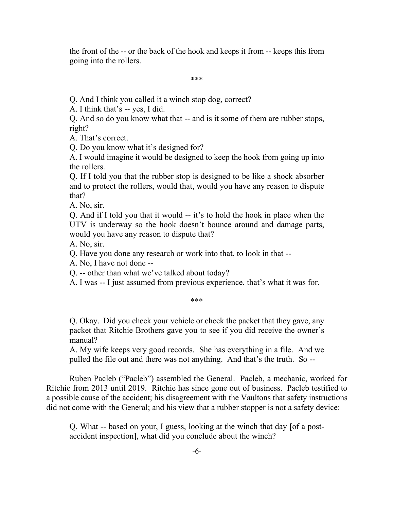the front of the -- or the back of the hook and keeps it from -- keeps this from going into the rollers.

#### \*\*\*

Q. And I think you called it a winch stop dog, correct?

A. I think that's -- yes, I did.

Q. And so do you know what that -- and is it some of them are rubber stops, right?

A. That's correct.

Q. Do you know what it's designed for?

A. I would imagine it would be designed to keep the hook from going up into the rollers.

Q. If I told you that the rubber stop is designed to be like a shock absorber and to protect the rollers, would that, would you have any reason to dispute that?

A. No, sir.

Q. And if I told you that it would -- it's to hold the hook in place when the UTV is underway so the hook doesn't bounce around and damage parts, would you have any reason to dispute that?

A. No, sir.

Q. Have you done any research or work into that, to look in that --

A. No, I have not done --

Q. -- other than what we've talked about today?

A. I was -- I just assumed from previous experience, that's what it was for.

#### \*\*\*

Q. Okay. Did you check your vehicle or check the packet that they gave, any packet that Ritchie Brothers gave you to see if you did receive the owner's manual?

A. My wife keeps very good records. She has everything in a file. And we pulled the file out and there was not anything. And that's the truth. So --

Ruben Pacleb ("Pacleb") assembled the General. Pacleb, a mechanic, worked for Ritchie from 2013 until 2019. Ritchie has since gone out of business. Pacleb testified to a possible cause of the accident; his disagreement with the Vaultons that safety instructions did not come with the General; and his view that a rubber stopper is not a safety device:

Q. What -- based on your, I guess, looking at the winch that day [of a postaccident inspection], what did you conclude about the winch?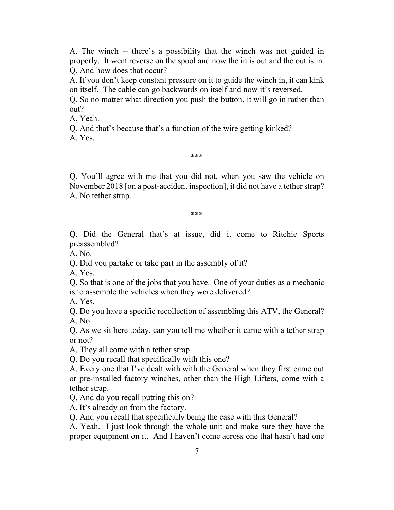A. The winch -- there's a possibility that the winch was not guided in properly. It went reverse on the spool and now the in is out and the out is in. Q. And how does that occur?

A. If you don't keep constant pressure on it to guide the winch in, it can kink on itself. The cable can go backwards on itself and now it's reversed.

Q. So no matter what direction you push the button, it will go in rather than out?

A. Yeah.

Q. And that's because that's a function of the wire getting kinked?

A. Yes.

#### \*\*\*

Q. You'll agree with me that you did not, when you saw the vehicle on November 2018 [on a post-accident inspection], it did not have a tether strap? A. No tether strap.

\*\*\*

Q. Did the General that's at issue, did it come to Ritchie Sports preassembled?

A. No.

Q. Did you partake or take part in the assembly of it?

A. Yes.

Q. So that is one of the jobs that you have. One of your duties as a mechanic is to assemble the vehicles when they were delivered?

A. Yes.

Q. Do you have a specific recollection of assembling this ATV, the General? A. No.

Q. As we sit here today, can you tell me whether it came with a tether strap or not?

A. They all come with a tether strap.

Q. Do you recall that specifically with this one?

A. Every one that I've dealt with with the General when they first came out or pre-installed factory winches, other than the High Lifters, come with a tether strap.

Q. And do you recall putting this on?

A. It's already on from the factory.

Q. And you recall that specifically being the case with this General?

A. Yeah. I just look through the whole unit and make sure they have the proper equipment on it. And I haven't come across one that hasn't had one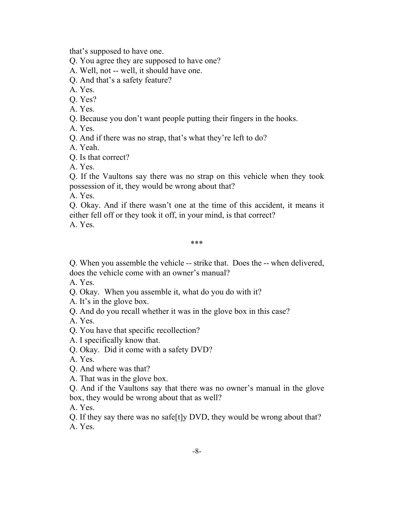that's supposed to have one.

Q. You agree they are supposed to have one?

A. Well, not -- well, it should have one.

Q. And that's a safety feature?

A. Yes.

Q. Yes?

A. Yes.

Q. Because you don't want people putting their fingers in the hooks.

A. Yes.

Q. And if there was no strap, that's what they're left to do?

A. Yeah.

Q. Is that correct?

A. Yes.

Q. If the Vaultons say there was no strap on this vehicle when they took possession of it, they would be wrong about that?

A. Yes.

Q. Okay. And if there wasn't one at the time of this accident, it means it either fell off or they took it off, in your mind, is that correct? A. Yes.

\*\*\*

Q. When you assemble the vehicle -- strike that. Does the -- when delivered, does the vehicle come with an owner's manual?

A. Yes.

Q. Okay. When you assemble it, what do you do with it?

A. It's in the glove box.

Q. And do you recall whether it was in the glove box in this case?

A. Yes.

Q. You have that specific recollection?

A. I specifically know that.

Q. Okay. Did it come with a safety DVD?

A. Yes.

Q. And where was that?

A. That was in the glove box.

Q. And if the Vaultons say that there was no owner's manual in the glove box, they would be wrong about that as well?

A. Yes.

Q. If they say there was no safe[t]y DVD, they would be wrong about that? A. Yes.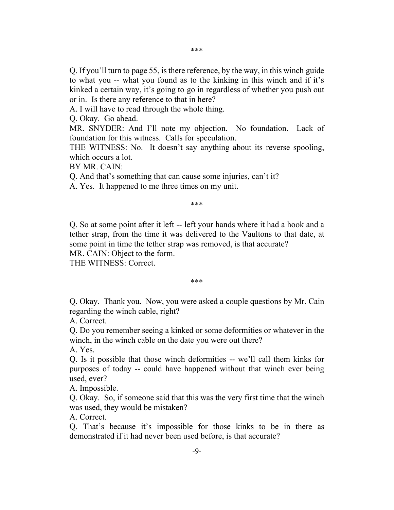Q. If you'll turn to page 55, is there reference, by the way, in this winch guide to what you -- what you found as to the kinking in this winch and if it's kinked a certain way, it's going to go in regardless of whether you push out or in. Is there any reference to that in here?

A. I will have to read through the whole thing.

Q. Okay. Go ahead.

MR. SNYDER: And I'll note my objection. No foundation. Lack of foundation for this witness. Calls for speculation.

THE WITNESS: No. It doesn't say anything about its reverse spooling, which occurs a lot.

BY MR. CAIN:

Q. And that's something that can cause some injuries, can't it?

A. Yes. It happened to me three times on my unit.

#### \*\*\*

Q. So at some point after it left -- left your hands where it had a hook and a tether strap, from the time it was delivered to the Vaultons to that date, at some point in time the tether strap was removed, is that accurate?

MR. CAIN: Object to the form.

THE WITNESS: Correct.

#### \*\*\*

Q. Okay. Thank you. Now, you were asked a couple questions by Mr. Cain regarding the winch cable, right?

A. Correct.

Q. Do you remember seeing a kinked or some deformities or whatever in the winch, in the winch cable on the date you were out there?

A. Yes.

Q. Is it possible that those winch deformities -- we'll call them kinks for purposes of today -- could have happened without that winch ever being used, ever?

A. Impossible.

Q. Okay. So, if someone said that this was the very first time that the winch was used, they would be mistaken?

A. Correct.

Q. That's because it's impossible for those kinks to be in there as demonstrated if it had never been used before, is that accurate?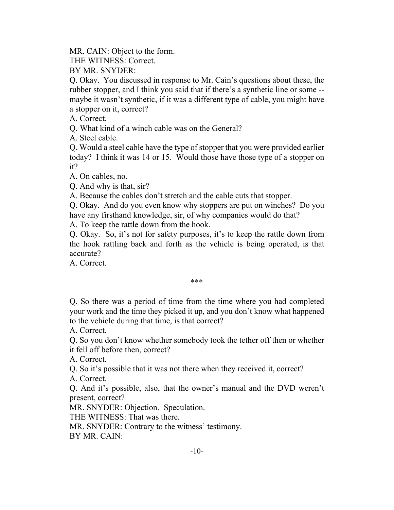MR. CAIN: Object to the form.

THE WITNESS: Correct.

BY MR. SNYDER:

Q. Okay. You discussed in response to Mr. Cain's questions about these, the rubber stopper, and I think you said that if there's a synthetic line or some - maybe it wasn't synthetic, if it was a different type of cable, you might have a stopper on it, correct?

A. Correct.

Q. What kind of a winch cable was on the General?

A. Steel cable.

Q. Would a steel cable have the type of stopper that you were provided earlier today? I think it was 14 or 15. Would those have those type of a stopper on it?

A. On cables, no.

Q. And why is that, sir?

A. Because the cables don't stretch and the cable cuts that stopper.

Q. Okay. And do you even know why stoppers are put on winches? Do you have any firsthand knowledge, sir, of why companies would do that?

A. To keep the rattle down from the hook.

Q. Okay. So, it's not for safety purposes, it's to keep the rattle down from the hook rattling back and forth as the vehicle is being operated, is that accurate?

A. Correct.

## \*\*\*

Q. So there was a period of time from the time where you had completed your work and the time they picked it up, and you don't know what happened to the vehicle during that time, is that correct?

A. Correct.

Q. So you don't know whether somebody took the tether off then or whether it fell off before then, correct?

A. Correct.

Q. So it's possible that it was not there when they received it, correct?

A. Correct.

Q. And it's possible, also, that the owner's manual and the DVD weren't present, correct?

MR. SNYDER: Objection. Speculation.

THE WITNESS: That was there.

MR. SNYDER: Contrary to the witness' testimony.

BY MR. CAIN: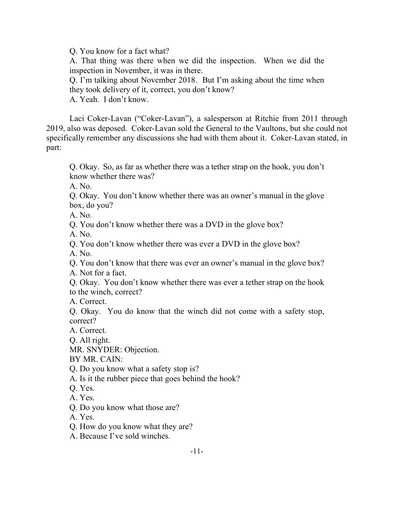Q. You know for a fact what?

A. That thing was there when we did the inspection. When we did the inspection in November, it was in there.

Q. I'm talking about November 2018. But I'm asking about the time when they took delivery of it, correct, you don't know?

A. Yeah. I don't know.

Laci Coker-Lavan ("Coker-Lavan"), a salesperson at Ritchie from 2011 through 2019, also was deposed. Coker-Lavan sold the General to the Vaultons, but she could not specifically remember any discussions she had with them about it. Coker-Lavan stated, in part:

Q. Okay. So, as far as whether there was a tether strap on the hook, you don't know whether there was?

A. No.

Q. Okay. You don't know whether there was an owner's manual in the glove box, do you?

A. No.

Q. You don't know whether there was a DVD in the glove box?

A. No.

Q. You don't know whether there was ever a DVD in the glove box?

A. No.

Q. You don't know that there was ever an owner's manual in the glove box? A. Not for a fact.

Q. Okay. You don't know whether there was ever a tether strap on the hook to the winch, correct?

A. Correct.

Q. Okay. You do know that the winch did not come with a safety stop, correct?

A. Correct.

Q. All right.

MR. SNYDER: Objection.

BY MR. CAIN:

Q. Do you know what a safety stop is?

A. Is it the rubber piece that goes behind the hook?

Q. Yes.

A. Yes.

Q. Do you know what those are?

A. Yes.

Q. How do you know what they are?

A. Because I've sold winches.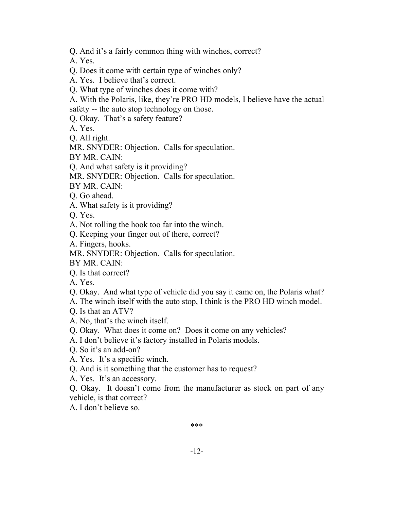Q. And it's a fairly common thing with winches, correct?

A. Yes.

Q. Does it come with certain type of winches only?

A. Yes. I believe that's correct.

Q. What type of winches does it come with?

A. With the Polaris, like, they're PRO HD models, I believe have the actual safety -- the auto stop technology on those.

Q. Okay. That's a safety feature?

A. Yes.

Q. All right.

MR. SNYDER: Objection. Calls for speculation.

BY MR. CAIN:

Q. And what safety is it providing?

MR. SNYDER: Objection. Calls for speculation.

BY MR. CAIN:

Q. Go ahead.

A. What safety is it providing?

Q. Yes.

A. Not rolling the hook too far into the winch.

Q. Keeping your finger out of there, correct?

A. Fingers, hooks.

MR. SNYDER: Objection. Calls for speculation.

BY MR. CAIN:

Q. Is that correct?

A. Yes.

Q. Okay. And what type of vehicle did you say it came on, the Polaris what?

A. The winch itself with the auto stop, I think is the PRO HD winch model.

Q. Is that an ATV?

A. No, that's the winch itself.

Q. Okay. What does it come on? Does it come on any vehicles?

A. I don't believe it's factory installed in Polaris models.

Q. So it's an add-on?

A. Yes. It's a specific winch.

Q. And is it something that the customer has to request?

A. Yes. It's an accessory.

Q. Okay. It doesn't come from the manufacturer as stock on part of any vehicle, is that correct?

A. I don't believe so.

\*\*\*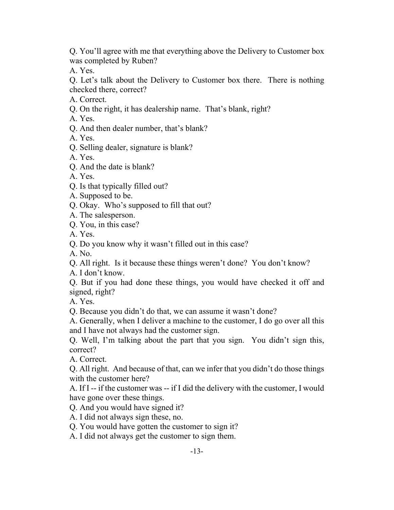Q. You'll agree with me that everything above the Delivery to Customer box was completed by Ruben?

A. Yes.

Q. Let's talk about the Delivery to Customer box there. There is nothing checked there, correct?

- A. Correct.
- Q. On the right, it has dealership name. That's blank, right?

A. Yes.

Q. And then dealer number, that's blank?

A. Yes.

Q. Selling dealer, signature is blank?

A. Yes.

Q. And the date is blank?

A. Yes.

- Q. Is that typically filled out?
- A. Supposed to be.

Q. Okay. Who's supposed to fill that out?

A. The salesperson.

Q. You, in this case?

A. Yes.

Q. Do you know why it wasn't filled out in this case?

A. No.

Q. All right. Is it because these things weren't done? You don't know?

A. I don't know.

Q. But if you had done these things, you would have checked it off and signed, right?

A. Yes.

Q. Because you didn't do that, we can assume it wasn't done?

A. Generally, when I deliver a machine to the customer, I do go over all this and I have not always had the customer sign.

Q. Well, I'm talking about the part that you sign. You didn't sign this, correct?

A. Correct.

Q. All right. And because of that, can we infer that you didn't do those things with the customer here?

A. If I -- if the customer was -- if I did the delivery with the customer, I would have gone over these things.

Q. And you would have signed it?

A. I did not always sign these, no.

Q. You would have gotten the customer to sign it?

A. I did not always get the customer to sign them.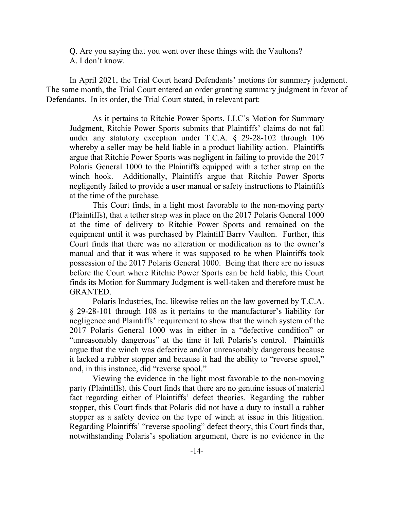Q. Are you saying that you went over these things with the Vaultons? A. I don't know.

In April 2021, the Trial Court heard Defendants' motions for summary judgment. The same month, the Trial Court entered an order granting summary judgment in favor of Defendants. In its order, the Trial Court stated, in relevant part:

As it pertains to Ritchie Power Sports, LLC's Motion for Summary Judgment, Ritchie Power Sports submits that Plaintiffs' claims do not fall under any statutory exception under T.C.A. § 29-28-102 through 106 whereby a seller may be held liable in a product liability action. Plaintiffs argue that Ritchie Power Sports was negligent in failing to provide the 2017 Polaris General 1000 to the Plaintiffs equipped with a tether strap on the winch hook. Additionally, Plaintiffs argue that Ritchie Power Sports negligently failed to provide a user manual or safety instructions to Plaintiffs at the time of the purchase.

This Court finds, in a light most favorable to the non-moving party (Plaintiffs), that a tether strap was in place on the 2017 Polaris General 1000 at the time of delivery to Ritchie Power Sports and remained on the equipment until it was purchased by Plaintiff Barry Vaulton. Further, this Court finds that there was no alteration or modification as to the owner's manual and that it was where it was supposed to be when Plaintiffs took possession of the 2017 Polaris General 1000. Being that there are no issues before the Court where Ritchie Power Sports can be held liable, this Court finds its Motion for Summary Judgment is well-taken and therefore must be GRANTED.

Polaris Industries, Inc. likewise relies on the law governed by T.C.A. § 29-28-101 through 108 as it pertains to the manufacturer's liability for negligence and Plaintiffs' requirement to show that the winch system of the 2017 Polaris General 1000 was in either in a "defective condition" or "unreasonably dangerous" at the time it left Polaris's control. Plaintiffs argue that the winch was defective and/or unreasonably dangerous because it lacked a rubber stopper and because it had the ability to "reverse spool," and, in this instance, did "reverse spool."

Viewing the evidence in the light most favorable to the non-moving party (Plaintiffs), this Court finds that there are no genuine issues of material fact regarding either of Plaintiffs' defect theories. Regarding the rubber stopper, this Court finds that Polaris did not have a duty to install a rubber stopper as a safety device on the type of winch at issue in this litigation. Regarding Plaintiffs' "reverse spooling" defect theory, this Court finds that, notwithstanding Polaris's spoliation argument, there is no evidence in the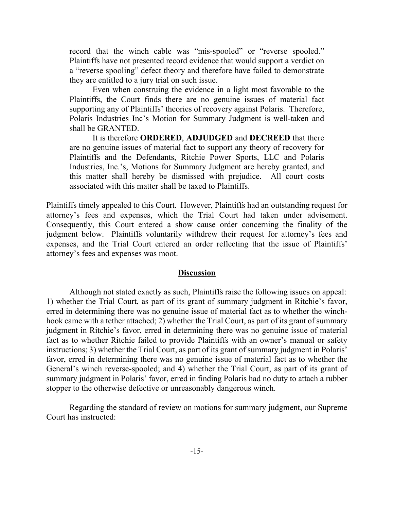record that the winch cable was "mis-spooled" or "reverse spooled." Plaintiffs have not presented record evidence that would support a verdict on a "reverse spooling" defect theory and therefore have failed to demonstrate they are entitled to a jury trial on such issue.

Even when construing the evidence in a light most favorable to the Plaintiffs, the Court finds there are no genuine issues of material fact supporting any of Plaintiffs' theories of recovery against Polaris. Therefore, Polaris Industries Inc's Motion for Summary Judgment is well-taken and shall be GRANTED.

It is therefore **ORDERED**, **ADJUDGED** and **DECREED** that there are no genuine issues of material fact to support any theory of recovery for Plaintiffs and the Defendants, Ritchie Power Sports, LLC and Polaris Industries, Inc.'s, Motions for Summary Judgment are hereby granted, and this matter shall hereby be dismissed with prejudice. All court costs associated with this matter shall be taxed to Plaintiffs.

Plaintiffs timely appealed to this Court. However, Plaintiffs had an outstanding request for attorney's fees and expenses, which the Trial Court had taken under advisement. Consequently, this Court entered a show cause order concerning the finality of the judgment below. Plaintiffs voluntarily withdrew their request for attorney's fees and expenses, and the Trial Court entered an order reflecting that the issue of Plaintiffs' attorney's fees and expenses was moot.

## **Discussion**

Although not stated exactly as such, Plaintiffs raise the following issues on appeal: 1) whether the Trial Court, as part of its grant of summary judgment in Ritchie's favor, erred in determining there was no genuine issue of material fact as to whether the winchhook came with a tether attached; 2) whether the Trial Court, as part of its grant of summary judgment in Ritchie's favor, erred in determining there was no genuine issue of material fact as to whether Ritchie failed to provide Plaintiffs with an owner's manual or safety instructions; 3) whether the Trial Court, as part of its grant of summary judgment in Polaris' favor, erred in determining there was no genuine issue of material fact as to whether the General's winch reverse-spooled; and 4) whether the Trial Court, as part of its grant of summary judgment in Polaris' favor, erred in finding Polaris had no duty to attach a rubber stopper to the otherwise defective or unreasonably dangerous winch.

Regarding the standard of review on motions for summary judgment, our Supreme Court has instructed: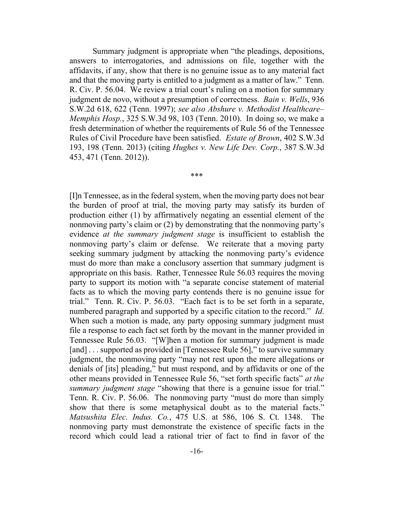Summary judgment is appropriate when "the pleadings, depositions, answers to interrogatories, and admissions on file, together with the affidavits, if any, show that there is no genuine issue as to any material fact and that the moving party is entitled to a judgment as a matter of law." Tenn. R. Civ. P. 56.04. We review a trial court's ruling on a motion for summary judgment de novo, without a presumption of correctness. *Bain v. Wells*, 936 S.W.2d 618, 622 (Tenn. 1997); *see also Abshure v. Methodist Healthcare– Memphis Hosp.*, 325 S.W.3d 98, 103 (Tenn. 2010). In doing so, we make a fresh determination of whether the requirements of Rule 56 of the Tennessee Rules of Civil Procedure have been satisfied. *Estate of Brown*, 402 S.W.3d 193, 198 (Tenn. 2013) (citing *Hughes v. New Life Dev. Corp.*, 387 S.W.3d 453, 471 (Tenn. 2012)).

#### \*\*\*

[I]n Tennessee, as in the federal system, when the moving party does not bear the burden of proof at trial, the moving party may satisfy its burden of production either (1) by affirmatively negating an essential element of the nonmoving party's claim or (2) by demonstrating that the nonmoving party's evidence *at the summary judgment stage* is insufficient to establish the nonmoving party's claim or defense. We reiterate that a moving party seeking summary judgment by attacking the nonmoving party's evidence must do more than make a conclusory assertion that summary judgment is appropriate on this basis. Rather, Tennessee Rule 56.03 requires the moving party to support its motion with "a separate concise statement of material facts as to which the moving party contends there is no genuine issue for trial." Tenn. R. Civ. P. 56.03. "Each fact is to be set forth in a separate, numbered paragraph and supported by a specific citation to the record." *Id*. When such a motion is made, any party opposing summary judgment must file a response to each fact set forth by the movant in the manner provided in Tennessee Rule 56.03. "[W]hen a motion for summary judgment is made [and] ... supported as provided in [Tennessee Rule 56]," to survive summary judgment, the nonmoving party "may not rest upon the mere allegations or denials of [its] pleading," but must respond, and by affidavits or one of the other means provided in Tennessee Rule 56, "set forth specific facts" *at the summary judgment stage* "showing that there is a genuine issue for trial." Tenn. R. Civ. P. 56.06. The nonmoving party "must do more than simply show that there is some metaphysical doubt as to the material facts." *Matsushita Elec. Indus. Co.*, 475 U.S. at 586, 106 S. Ct. 1348. The nonmoving party must demonstrate the existence of specific facts in the record which could lead a rational trier of fact to find in favor of the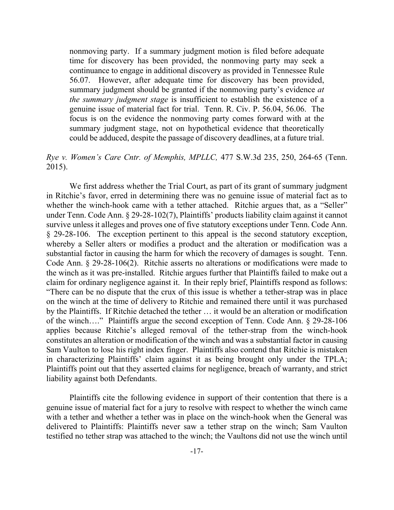nonmoving party. If a summary judgment motion is filed before adequate time for discovery has been provided, the nonmoving party may seek a continuance to engage in additional discovery as provided in Tennessee Rule 56.07. However, after adequate time for discovery has been provided, summary judgment should be granted if the nonmoving party's evidence *at the summary judgment stage* is insufficient to establish the existence of a genuine issue of material fact for trial. Tenn. R. Civ. P. 56.04, 56.06. The focus is on the evidence the nonmoving party comes forward with at the summary judgment stage, not on hypothetical evidence that theoretically could be adduced, despite the passage of discovery deadlines, at a future trial.

# *Rye v. Women's Care Cntr. of Memphis, MPLLC,* 477 S.W.3d 235, 250, 264-65 (Tenn. 2015).

We first address whether the Trial Court, as part of its grant of summary judgment in Ritchie's favor, erred in determining there was no genuine issue of material fact as to whether the winch-hook came with a tether attached. Ritchie argues that, as a "Seller" under Tenn. Code Ann. § 29-28-102(7), Plaintiffs' products liability claim against it cannot survive unless it alleges and proves one of five statutory exceptions under Tenn. Code Ann. § 29-28-106. The exception pertinent to this appeal is the second statutory exception, whereby a Seller alters or modifies a product and the alteration or modification was a substantial factor in causing the harm for which the recovery of damages is sought. Tenn. Code Ann. § 29-28-106(2). Ritchie asserts no alterations or modifications were made to the winch as it was pre-installed. Ritchie argues further that Plaintiffs failed to make out a claim for ordinary negligence against it. In their reply brief, Plaintiffs respond as follows: "There can be no dispute that the crux of this issue is whether a tether-strap was in place on the winch at the time of delivery to Ritchie and remained there until it was purchased by the Plaintiffs. If Ritchie detached the tether … it would be an alteration or modification of the winch…." Plaintiffs argue the second exception of Tenn. Code Ann. § 29-28-106 applies because Ritchie's alleged removal of the tether-strap from the winch-hook constitutes an alteration or modification of the winch and was a substantial factor in causing Sam Vaulton to lose his right index finger. Plaintiffs also contend that Ritchie is mistaken in characterizing Plaintiffs' claim against it as being brought only under the TPLA; Plaintiffs point out that they asserted claims for negligence, breach of warranty, and strict liability against both Defendants.

Plaintiffs cite the following evidence in support of their contention that there is a genuine issue of material fact for a jury to resolve with respect to whether the winch came with a tether and whether a tether was in place on the winch-hook when the General was delivered to Plaintiffs: Plaintiffs never saw a tether strap on the winch; Sam Vaulton testified no tether strap was attached to the winch; the Vaultons did not use the winch until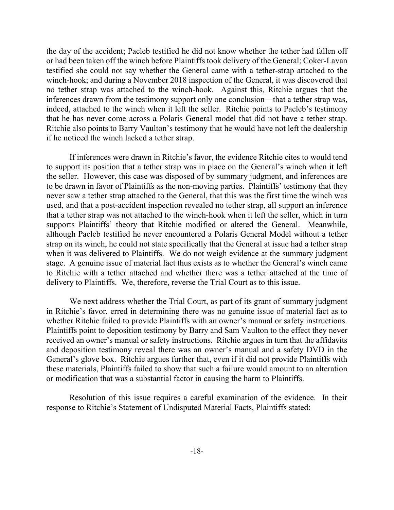the day of the accident; Pacleb testified he did not know whether the tether had fallen off or had been taken off the winch before Plaintiffs took delivery of the General; Coker-Lavan testified she could not say whether the General came with a tether-strap attached to the winch-hook; and during a November 2018 inspection of the General, it was discovered that no tether strap was attached to the winch-hook. Against this, Ritchie argues that the inferences drawn from the testimony support only one conclusion—that a tether strap was, indeed, attached to the winch when it left the seller. Ritchie points to Pacleb's testimony that he has never come across a Polaris General model that did not have a tether strap. Ritchie also points to Barry Vaulton's testimony that he would have not left the dealership if he noticed the winch lacked a tether strap.

If inferences were drawn in Ritchie's favor, the evidence Ritchie cites to would tend to support its position that a tether strap was in place on the General's winch when it left the seller. However, this case was disposed of by summary judgment, and inferences are to be drawn in favor of Plaintiffs as the non-moving parties. Plaintiffs' testimony that they never saw a tether strap attached to the General, that this was the first time the winch was used, and that a post-accident inspection revealed no tether strap, all support an inference that a tether strap was not attached to the winch-hook when it left the seller, which in turn supports Plaintiffs' theory that Ritchie modified or altered the General. Meanwhile, although Pacleb testified he never encountered a Polaris General Model without a tether strap on its winch, he could not state specifically that the General at issue had a tether strap when it was delivered to Plaintiffs. We do not weigh evidence at the summary judgment stage. A genuine issue of material fact thus exists as to whether the General's winch came to Ritchie with a tether attached and whether there was a tether attached at the time of delivery to Plaintiffs. We, therefore, reverse the Trial Court as to this issue.

We next address whether the Trial Court, as part of its grant of summary judgment in Ritchie's favor, erred in determining there was no genuine issue of material fact as to whether Ritchie failed to provide Plaintiffs with an owner's manual or safety instructions. Plaintiffs point to deposition testimony by Barry and Sam Vaulton to the effect they never received an owner's manual or safety instructions. Ritchie argues in turn that the affidavits and deposition testimony reveal there was an owner's manual and a safety DVD in the General's glove box. Ritchie argues further that, even if it did not provide Plaintiffs with these materials, Plaintiffs failed to show that such a failure would amount to an alteration or modification that was a substantial factor in causing the harm to Plaintiffs.

Resolution of this issue requires a careful examination of the evidence. In their response to Ritchie's Statement of Undisputed Material Facts, Plaintiffs stated: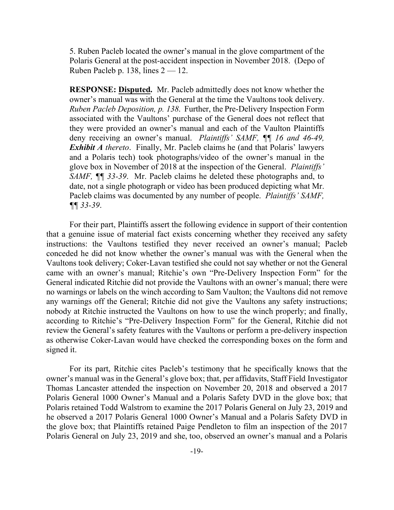5. Ruben Pacleb located the owner's manual in the glove compartment of the Polaris General at the post-accident inspection in November 2018. (Depo of Ruben Pacleb p. 138, lines  $2 - 12$ .

**RESPONSE: Disputed.** Mr. Pacleb admittedly does not know whether the owner's manual was with the General at the time the Vaultons took delivery. *Ruben Pacleb Deposition, p. 138*. Further, the Pre-Delivery Inspection Form associated with the Vaultons' purchase of the General does not reflect that they were provided an owner's manual and each of the Vaulton Plaintiffs deny receiving an owner's manual. *Plaintiffs' SAMF, ¶¶ 16 and 46-49, Exhibit A thereto*. Finally, Mr. Pacleb claims he (and that Polaris' lawyers and a Polaris tech) took photographs/video of the owner's manual in the glove box in November of 2018 at the inspection of the General. *Plaintiffs' SAMF, ¶¶ 33-39*. Mr. Pacleb claims he deleted these photographs and, to date, not a single photograph or video has been produced depicting what Mr. Pacleb claims was documented by any number of people. *Plaintiffs' SAMF, ¶¶ 33-39*.

For their part, Plaintiffs assert the following evidence in support of their contention that a genuine issue of material fact exists concerning whether they received any safety instructions: the Vaultons testified they never received an owner's manual; Pacleb conceded he did not know whether the owner's manual was with the General when the Vaultons took delivery; Coker-Lavan testified she could not say whether or not the General came with an owner's manual; Ritchie's own "Pre-Delivery Inspection Form" for the General indicated Ritchie did not provide the Vaultons with an owner's manual; there were no warnings or labels on the winch according to Sam Vaulton; the Vaultons did not remove any warnings off the General; Ritchie did not give the Vaultons any safety instructions; nobody at Ritchie instructed the Vaultons on how to use the winch properly; and finally, according to Ritchie's "Pre-Delivery Inspection Form" for the General, Ritchie did not review the General's safety features with the Vaultons or perform a pre-delivery inspection as otherwise Coker-Lavan would have checked the corresponding boxes on the form and signed it.

For its part, Ritchie cites Pacleb's testimony that he specifically knows that the owner's manual was in the General's glove box; that, per affidavits, Staff Field Investigator Thomas Lancaster attended the inspection on November 20, 2018 and observed a 2017 Polaris General 1000 Owner's Manual and a Polaris Safety DVD in the glove box; that Polaris retained Todd Walstrom to examine the 2017 Polaris General on July 23, 2019 and he observed a 2017 Polaris General 1000 Owner's Manual and a Polaris Safety DVD in the glove box; that Plaintiffs retained Paige Pendleton to film an inspection of the 2017 Polaris General on July 23, 2019 and she, too, observed an owner's manual and a Polaris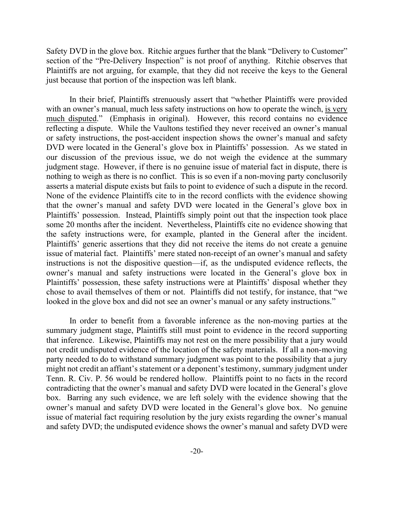Safety DVD in the glove box. Ritchie argues further that the blank "Delivery to Customer" section of the "Pre-Delivery Inspection" is not proof of anything. Ritchie observes that Plaintiffs are not arguing, for example, that they did not receive the keys to the General just because that portion of the inspection was left blank.

In their brief, Plaintiffs strenuously assert that "whether Plaintiffs were provided with an owner's manual, much less safety instructions on how to operate the winch, is very much disputed." (Emphasis in original). However, this record contains no evidence reflecting a dispute. While the Vaultons testified they never received an owner's manual or safety instructions, the post-accident inspection shows the owner's manual and safety DVD were located in the General's glove box in Plaintiffs' possession. As we stated in our discussion of the previous issue, we do not weigh the evidence at the summary judgment stage. However, if there is no genuine issue of material fact in dispute, there is nothing to weigh as there is no conflict. This is so even if a non-moving party conclusorily asserts a material dispute exists but fails to point to evidence of such a dispute in the record. None of the evidence Plaintiffs cite to in the record conflicts with the evidence showing that the owner's manual and safety DVD were located in the General's glove box in Plaintiffs' possession. Instead, Plaintiffs simply point out that the inspection took place some 20 months after the incident. Nevertheless, Plaintiffs cite no evidence showing that the safety instructions were, for example, planted in the General after the incident. Plaintiffs' generic assertions that they did not receive the items do not create a genuine issue of material fact. Plaintiffs' mere stated non-receipt of an owner's manual and safety instructions is not the dispositive question—if, as the undisputed evidence reflects, the owner's manual and safety instructions were located in the General's glove box in Plaintiffs' possession, these safety instructions were at Plaintiffs' disposal whether they chose to avail themselves of them or not. Plaintiffs did not testify, for instance, that "we looked in the glove box and did not see an owner's manual or any safety instructions."

In order to benefit from a favorable inference as the non-moving parties at the summary judgment stage, Plaintiffs still must point to evidence in the record supporting that inference. Likewise, Plaintiffs may not rest on the mere possibility that a jury would not credit undisputed evidence of the location of the safety materials. If all a non-moving party needed to do to withstand summary judgment was point to the possibility that a jury might not credit an affiant's statement or a deponent's testimony, summary judgment under Tenn. R. Civ. P. 56 would be rendered hollow. Plaintiffs point to no facts in the record contradicting that the owner's manual and safety DVD were located in the General's glove box. Barring any such evidence, we are left solely with the evidence showing that the owner's manual and safety DVD were located in the General's glove box. No genuine issue of material fact requiring resolution by the jury exists regarding the owner's manual and safety DVD; the undisputed evidence shows the owner's manual and safety DVD were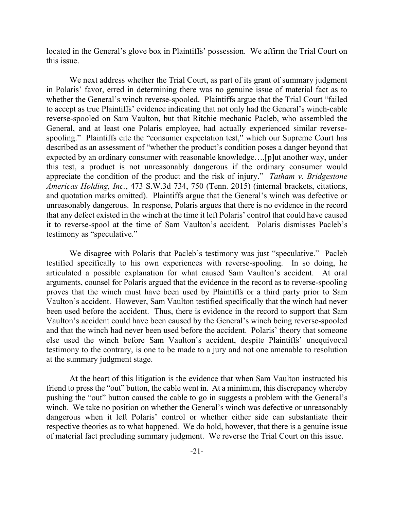located in the General's glove box in Plaintiffs' possession. We affirm the Trial Court on this issue.

We next address whether the Trial Court, as part of its grant of summary judgment in Polaris' favor, erred in determining there was no genuine issue of material fact as to whether the General's winch reverse-spooled. Plaintiffs argue that the Trial Court "failed to accept as true Plaintiffs' evidence indicating that not only had the General's winch-cable reverse-spooled on Sam Vaulton, but that Ritchie mechanic Pacleb, who assembled the General, and at least one Polaris employee, had actually experienced similar reversespooling." Plaintiffs cite the "consumer expectation test," which our Supreme Court has described as an assessment of "whether the product's condition poses a danger beyond that expected by an ordinary consumer with reasonable knowledge….[p]ut another way, under this test, a product is not unreasonably dangerous if the ordinary consumer would appreciate the condition of the product and the risk of injury." *Tatham v. Bridgestone Americas Holding, Inc.*, 473 S.W.3d 734, 750 (Tenn. 2015) (internal brackets, citations, and quotation marks omitted). Plaintiffs argue that the General's winch was defective or unreasonably dangerous. In response, Polaris argues that there is no evidence in the record that any defect existed in the winch at the time it left Polaris' control that could have caused it to reverse-spool at the time of Sam Vaulton's accident. Polaris dismisses Pacleb's testimony as "speculative."

We disagree with Polaris that Pacleb's testimony was just "speculative." Pacleb testified specifically to his own experiences with reverse-spooling. In so doing, he articulated a possible explanation for what caused Sam Vaulton's accident. At oral arguments, counsel for Polaris argued that the evidence in the record as to reverse-spooling proves that the winch must have been used by Plaintiffs or a third party prior to Sam Vaulton's accident. However, Sam Vaulton testified specifically that the winch had never been used before the accident. Thus, there is evidence in the record to support that Sam Vaulton's accident could have been caused by the General's winch being reverse-spooled and that the winch had never been used before the accident. Polaris' theory that someone else used the winch before Sam Vaulton's accident, despite Plaintiffs' unequivocal testimony to the contrary, is one to be made to a jury and not one amenable to resolution at the summary judgment stage.

At the heart of this litigation is the evidence that when Sam Vaulton instructed his friend to press the "out" button, the cable went in. At a minimum, this discrepancy whereby pushing the "out" button caused the cable to go in suggests a problem with the General's winch. We take no position on whether the General's winch was defective or unreasonably dangerous when it left Polaris' control or whether either side can substantiate their respective theories as to what happened. We do hold, however, that there is a genuine issue of material fact precluding summary judgment. We reverse the Trial Court on this issue.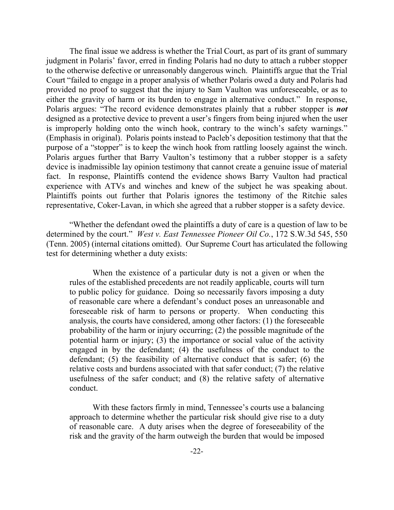The final issue we address is whether the Trial Court, as part of its grant of summary judgment in Polaris' favor, erred in finding Polaris had no duty to attach a rubber stopper to the otherwise defective or unreasonably dangerous winch. Plaintiffs argue that the Trial Court "failed to engage in a proper analysis of whether Polaris owed a duty and Polaris had provided no proof to suggest that the injury to Sam Vaulton was unforeseeable, or as to either the gravity of harm or its burden to engage in alternative conduct." In response, Polaris argues: "The record evidence demonstrates plainly that a rubber stopper is *not* designed as a protective device to prevent a user's fingers from being injured when the user is improperly holding onto the winch hook, contrary to the winch's safety warnings." (Emphasis in original). Polaris points instead to Pacleb's deposition testimony that that the purpose of a "stopper" is to keep the winch hook from rattling loosely against the winch. Polaris argues further that Barry Vaulton's testimony that a rubber stopper is a safety device is inadmissible lay opinion testimony that cannot create a genuine issue of material fact. In response, Plaintiffs contend the evidence shows Barry Vaulton had practical experience with ATVs and winches and knew of the subject he was speaking about. Plaintiffs points out further that Polaris ignores the testimony of the Ritchie sales representative, Coker-Lavan, in which she agreed that a rubber stopper is a safety device.

"Whether the defendant owed the plaintiffs a duty of care is a question of law to be determined by the court." *West v. East Tennessee Pioneer Oil Co.*, 172 S.W.3d 545, 550 (Tenn. 2005) (internal citations omitted). Our Supreme Court has articulated the following test for determining whether a duty exists:

When the existence of a particular duty is not a given or when the rules of the established precedents are not readily applicable, courts will turn to public policy for guidance. Doing so necessarily favors imposing a duty of reasonable care where a defendant's conduct poses an unreasonable and foreseeable risk of harm to persons or property. When conducting this analysis, the courts have considered, among other factors: (1) the foreseeable probability of the harm or injury occurring; (2) the possible magnitude of the potential harm or injury; (3) the importance or social value of the activity engaged in by the defendant; (4) the usefulness of the conduct to the defendant; (5) the feasibility of alternative conduct that is safer; (6) the relative costs and burdens associated with that safer conduct; (7) the relative usefulness of the safer conduct; and (8) the relative safety of alternative conduct.

With these factors firmly in mind, Tennessee's courts use a balancing approach to determine whether the particular risk should give rise to a duty of reasonable care. A duty arises when the degree of foreseeability of the risk and the gravity of the harm outweigh the burden that would be imposed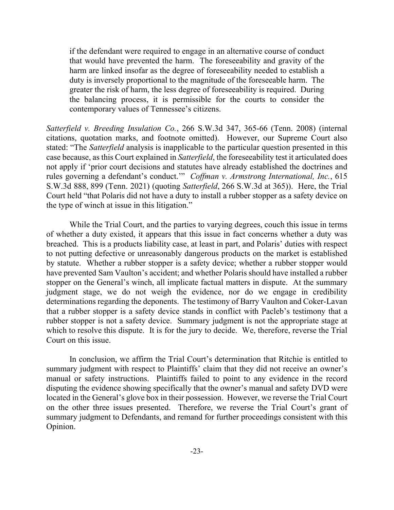if the defendant were required to engage in an alternative course of conduct that would have prevented the harm. The foreseeability and gravity of the harm are linked insofar as the degree of foreseeability needed to establish a duty is inversely proportional to the magnitude of the foreseeable harm. The greater the risk of harm, the less degree of foreseeability is required. During the balancing process, it is permissible for the courts to consider the contemporary values of Tennessee's citizens.

*Satterfield v. Breeding Insulation Co.*, 266 S.W.3d 347, 365-66 (Tenn. 2008) (internal citations, quotation marks, and footnote omitted). However, our Supreme Court also stated: "The *Satterfield* analysis is inapplicable to the particular question presented in this case because, as this Court explained in *Satterfield*, the foreseeability test it articulated does not apply if 'prior court decisions and statutes have already established the doctrines and rules governing a defendant's conduct.'" *Coffman v. Armstrong International, Inc.*, 615 S.W.3d 888, 899 (Tenn. 2021) (quoting *Satterfield*, 266 S.W.3d at 365)). Here, the Trial Court held "that Polaris did not have a duty to install a rubber stopper as a safety device on the type of winch at issue in this litigation."

While the Trial Court, and the parties to varying degrees, couch this issue in terms of whether a duty existed, it appears that this issue in fact concerns whether a duty was breached. This is a products liability case, at least in part, and Polaris' duties with respect to not putting defective or unreasonably dangerous products on the market is established by statute. Whether a rubber stopper is a safety device; whether a rubber stopper would have prevented Sam Vaulton's accident; and whether Polaris should have installed a rubber stopper on the General's winch, all implicate factual matters in dispute. At the summary judgment stage, we do not weigh the evidence, nor do we engage in credibility determinations regarding the deponents. The testimony of Barry Vaulton and Coker-Lavan that a rubber stopper is a safety device stands in conflict with Pacleb's testimony that a rubber stopper is not a safety device. Summary judgment is not the appropriate stage at which to resolve this dispute. It is for the jury to decide. We, therefore, reverse the Trial Court on this issue.

In conclusion, we affirm the Trial Court's determination that Ritchie is entitled to summary judgment with respect to Plaintiffs' claim that they did not receive an owner's manual or safety instructions. Plaintiffs failed to point to any evidence in the record disputing the evidence showing specifically that the owner's manual and safety DVD were located in the General's glove box in their possession. However, we reverse the Trial Court on the other three issues presented. Therefore, we reverse the Trial Court's grant of summary judgment to Defendants, and remand for further proceedings consistent with this Opinion.